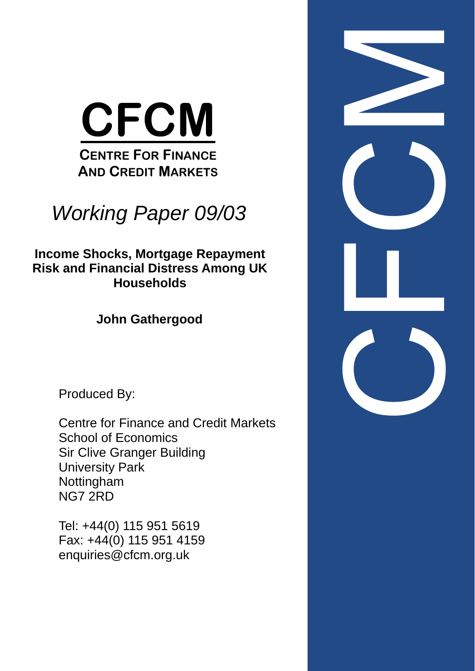

# *Working Paper 09/03*

**Income Shocks, Mortgage Repayment Risk and Financial Distress Among UK Households** 

**John Gathergood** 

Produced By:

Centre for Finance and Credit Markets School of Economics Sir Clive Granger Building University Park Nottingham NG7 2RD

Tel: +44(0) 115 951 5619 Fax: +44(0) 115 951 4159 enquiries@cfcm.org.uk

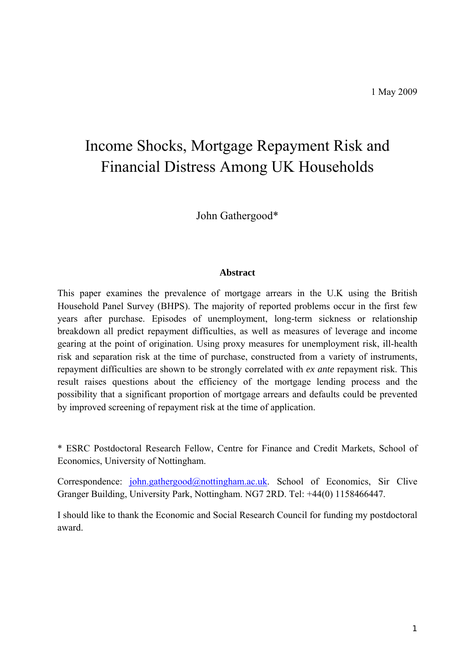# Income Shocks, Mortgage Repayment Risk and Financial Distress Among UK Households

John Gathergood\*

#### **Abstract**

This paper examines the prevalence of mortgage arrears in the U.K using the British Household Panel Survey (BHPS). The majority of reported problems occur in the first few years after purchase. Episodes of unemployment, long-term sickness or relationship breakdown all predict repayment difficulties, as well as measures of leverage and income gearing at the point of origination. Using proxy measures for unemployment risk, ill-health risk and separation risk at the time of purchase, constructed from a variety of instruments, repayment difficulties are shown to be strongly correlated with *ex ante* repayment risk. This result raises questions about the efficiency of the mortgage lending process and the possibility that a significant proportion of mortgage arrears and defaults could be prevented by improved screening of repayment risk at the time of application.

\* ESRC Postdoctoral Research Fellow, Centre for Finance and Credit Markets, School of Economics, University of Nottingham.

Correspondence: john.gathergood@nottingham.ac.uk. School of Economics, Sir Clive Granger Building, University Park, Nottingham. NG7 2RD. Tel: +44(0) 1158466447.

I should like to thank the Economic and Social Research Council for funding my postdoctoral award.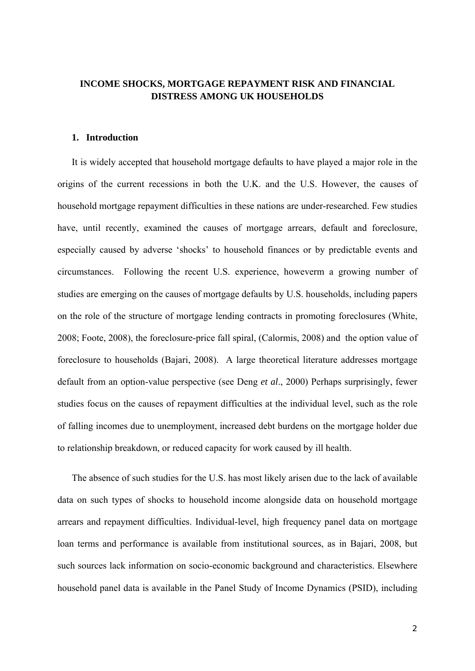#### **INCOME SHOCKS, MORTGAGE REPAYMENT RISK AND FINANCIAL DISTRESS AMONG UK HOUSEHOLDS**

#### **1. Introduction**

It is widely accepted that household mortgage defaults to have played a major role in the origins of the current recessions in both the U.K. and the U.S. However, the causes of household mortgage repayment difficulties in these nations are under-researched. Few studies have, until recently, examined the causes of mortgage arrears, default and foreclosure, especially caused by adverse 'shocks' to household finances or by predictable events and circumstances. Following the recent U.S. experience, howeverm a growing number of studies are emerging on the causes of mortgage defaults by U.S. households, including papers on the role of the structure of mortgage lending contracts in promoting foreclosures (White, 2008; Foote, 2008), the foreclosure-price fall spiral, (Calormis, 2008) and the option value of foreclosure to households (Bajari, 2008). A large theoretical literature addresses mortgage default from an option-value perspective (see Deng *et al*., 2000) Perhaps surprisingly, fewer studies focus on the causes of repayment difficulties at the individual level, such as the role of falling incomes due to unemployment, increased debt burdens on the mortgage holder due to relationship breakdown, or reduced capacity for work caused by ill health.

The absence of such studies for the U.S. has most likely arisen due to the lack of available data on such types of shocks to household income alongside data on household mortgage arrears and repayment difficulties. Individual-level, high frequency panel data on mortgage loan terms and performance is available from institutional sources, as in Bajari, 2008, but such sources lack information on socio-economic background and characteristics. Elsewhere household panel data is available in the Panel Study of Income Dynamics (PSID), including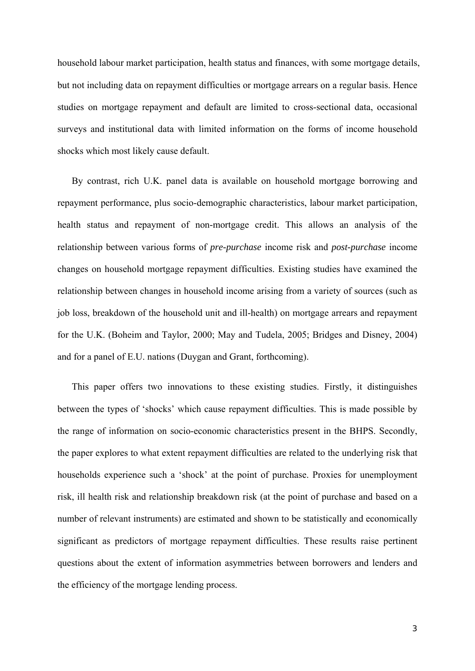household labour market participation, health status and finances, with some mortgage details, but not including data on repayment difficulties or mortgage arrears on a regular basis. Hence studies on mortgage repayment and default are limited to cross-sectional data, occasional surveys and institutional data with limited information on the forms of income household shocks which most likely cause default.

By contrast, rich U.K. panel data is available on household mortgage borrowing and repayment performance, plus socio-demographic characteristics, labour market participation, health status and repayment of non-mortgage credit. This allows an analysis of the relationship between various forms of *pre-purchase* income risk and *post-purchase* income changes on household mortgage repayment difficulties. Existing studies have examined the relationship between changes in household income arising from a variety of sources (such as job loss, breakdown of the household unit and ill-health) on mortgage arrears and repayment for the U.K. (Boheim and Taylor, 2000; May and Tudela, 2005; Bridges and Disney, 2004) and for a panel of E.U. nations (Duygan and Grant, forthcoming).

This paper offers two innovations to these existing studies. Firstly, it distinguishes between the types of 'shocks' which cause repayment difficulties. This is made possible by the range of information on socio-economic characteristics present in the BHPS. Secondly, the paper explores to what extent repayment difficulties are related to the underlying risk that households experience such a 'shock' at the point of purchase. Proxies for unemployment risk, ill health risk and relationship breakdown risk (at the point of purchase and based on a number of relevant instruments) are estimated and shown to be statistically and economically significant as predictors of mortgage repayment difficulties. These results raise pertinent questions about the extent of information asymmetries between borrowers and lenders and the efficiency of the mortgage lending process.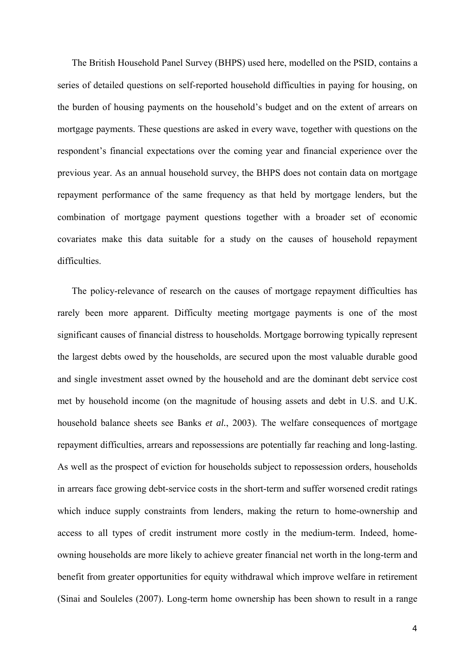The British Household Panel Survey (BHPS) used here, modelled on the PSID, contains a series of detailed questions on self-reported household difficulties in paying for housing, on the burden of housing payments on the household's budget and on the extent of arrears on mortgage payments. These questions are asked in every wave, together with questions on the respondent's financial expectations over the coming year and financial experience over the previous year. As an annual household survey, the BHPS does not contain data on mortgage repayment performance of the same frequency as that held by mortgage lenders, but the combination of mortgage payment questions together with a broader set of economic covariates make this data suitable for a study on the causes of household repayment difficulties.

The policy-relevance of research on the causes of mortgage repayment difficulties has rarely been more apparent. Difficulty meeting mortgage payments is one of the most significant causes of financial distress to households. Mortgage borrowing typically represent the largest debts owed by the households, are secured upon the most valuable durable good and single investment asset owned by the household and are the dominant debt service cost met by household income (on the magnitude of housing assets and debt in U.S. and U.K. household balance sheets see Banks *et al.*, 2003). The welfare consequences of mortgage repayment difficulties, arrears and repossessions are potentially far reaching and long-lasting. As well as the prospect of eviction for households subject to repossession orders, households in arrears face growing debt-service costs in the short-term and suffer worsened credit ratings which induce supply constraints from lenders, making the return to home-ownership and access to all types of credit instrument more costly in the medium-term. Indeed, homeowning households are more likely to achieve greater financial net worth in the long-term and benefit from greater opportunities for equity withdrawal which improve welfare in retirement (Sinai and Souleles (2007). Long-term home ownership has been shown to result in a range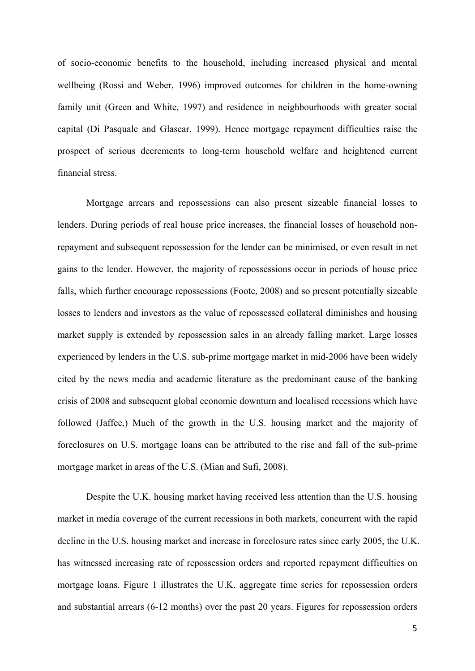of socio-economic benefits to the household, including increased physical and mental wellbeing (Rossi and Weber, 1996) improved outcomes for children in the home-owning family unit (Green and White, 1997) and residence in neighbourhoods with greater social capital (Di Pasquale and Glasear, 1999). Hence mortgage repayment difficulties raise the prospect of serious decrements to long-term household welfare and heightened current financial stress.

Mortgage arrears and repossessions can also present sizeable financial losses to lenders. During periods of real house price increases, the financial losses of household nonrepayment and subsequent repossession for the lender can be minimised, or even result in net gains to the lender. However, the majority of repossessions occur in periods of house price falls, which further encourage repossessions (Foote, 2008) and so present potentially sizeable losses to lenders and investors as the value of repossessed collateral diminishes and housing market supply is extended by repossession sales in an already falling market. Large losses experienced by lenders in the U.S. sub-prime mortgage market in mid-2006 have been widely cited by the news media and academic literature as the predominant cause of the banking crisis of 2008 and subsequent global economic downturn and localised recessions which have followed (Jaffee,) Much of the growth in the U.S. housing market and the majority of foreclosures on U.S. mortgage loans can be attributed to the rise and fall of the sub-prime mortgage market in areas of the U.S. (Mian and Sufi, 2008).

Despite the U.K. housing market having received less attention than the U.S. housing market in media coverage of the current recessions in both markets, concurrent with the rapid decline in the U.S. housing market and increase in foreclosure rates since early 2005, the U.K. has witnessed increasing rate of repossession orders and reported repayment difficulties on mortgage loans. Figure 1 illustrates the U.K. aggregate time series for repossession orders and substantial arrears (6-12 months) over the past 20 years. Figures for repossession orders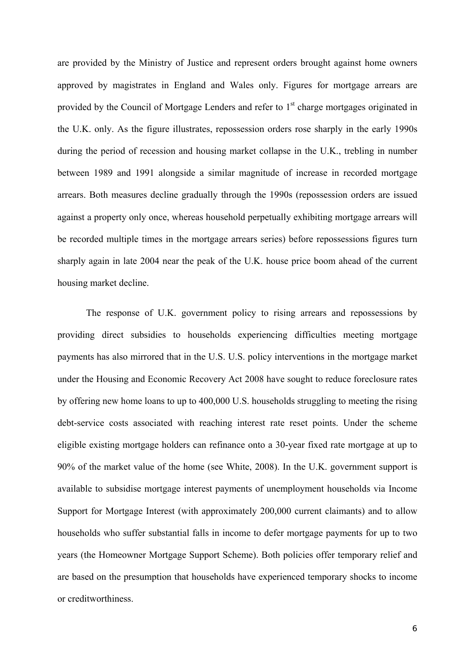are provided by the Ministry of Justice and represent orders brought against home owners approved by magistrates in England and Wales only. Figures for mortgage arrears are provided by the Council of Mortgage Lenders and refer to  $1<sup>st</sup>$  charge mortgages originated in the U.K. only. As the figure illustrates, repossession orders rose sharply in the early 1990s during the period of recession and housing market collapse in the U.K., trebling in number between 1989 and 1991 alongside a similar magnitude of increase in recorded mortgage arrears. Both measures decline gradually through the 1990s (repossession orders are issued against a property only once, whereas household perpetually exhibiting mortgage arrears will be recorded multiple times in the mortgage arrears series) before repossessions figures turn sharply again in late 2004 near the peak of the U.K. house price boom ahead of the current housing market decline.

The response of U.K. government policy to rising arrears and repossessions by providing direct subsidies to households experiencing difficulties meeting mortgage payments has also mirrored that in the U.S. U.S. policy interventions in the mortgage market under the Housing and Economic Recovery Act 2008 have sought to reduce foreclosure rates by offering new home loans to up to 400,000 U.S. households struggling to meeting the rising debt-service costs associated with reaching interest rate reset points. Under the scheme eligible existing mortgage holders can refinance onto a 30-year fixed rate mortgage at up to 90% of the market value of the home (see White, 2008). In the U.K. government support is available to subsidise mortgage interest payments of unemployment households via Income Support for Mortgage Interest (with approximately 200,000 current claimants) and to allow households who suffer substantial falls in income to defer mortgage payments for up to two years (the Homeowner Mortgage Support Scheme). Both policies offer temporary relief and are based on the presumption that households have experienced temporary shocks to income or creditworthiness.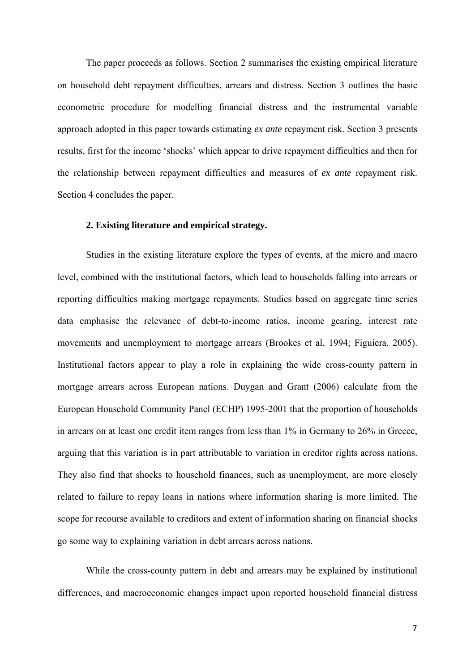The paper proceeds as follows. Section 2 summarises the existing empirical literature on household debt repayment difficulties, arrears and distress. Section 3 outlines the basic econometric procedure for modelling financial distress and the instrumental variable approach adopted in this paper towards estimating *ex ante* repayment risk. Section 3 presents results, first for the income 'shocks' which appear to drive repayment difficulties and then for the relationship between repayment difficulties and measures of *ex ante* repayment risk. Section 4 concludes the paper.

#### **2. Existing literature and empirical strategy.**

Studies in the existing literature explore the types of events, at the micro and macro level, combined with the institutional factors, which lead to households falling into arrears or reporting difficulties making mortgage repayments. Studies based on aggregate time series data emphasise the relevance of debt-to-income ratios, income gearing, interest rate movements and unemployment to mortgage arrears (Brookes et al, 1994; Figuiera, 2005). Institutional factors appear to play a role in explaining the wide cross-county pattern in mortgage arrears across European nations. Duygan and Grant (2006) calculate from the European Household Community Panel (ECHP) 1995-2001 that the proportion of households in arrears on at least one credit item ranges from less than 1% in Germany to 26% in Greece, arguing that this variation is in part attributable to variation in creditor rights across nations. They also find that shocks to household finances, such as unemployment, are more closely related to failure to repay loans in nations where information sharing is more limited. The scope for recourse available to creditors and extent of information sharing on financial shocks go some way to explaining variation in debt arrears across nations.

While the cross-county pattern in debt and arrears may be explained by institutional differences, and macroeconomic changes impact upon reported household financial distress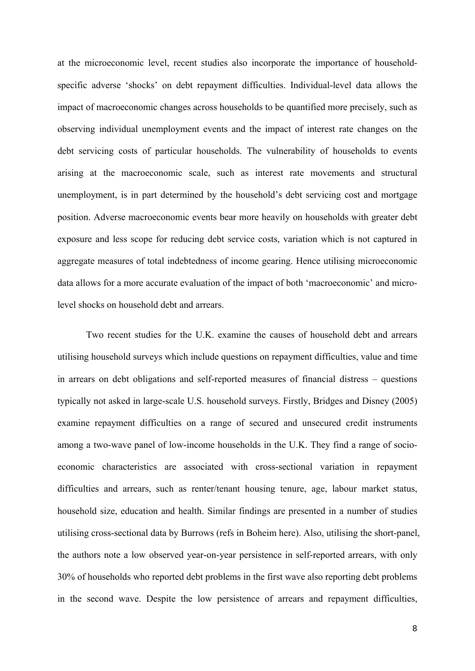at the microeconomic level, recent studies also incorporate the importance of householdspecific adverse 'shocks' on debt repayment difficulties. Individual-level data allows the impact of macroeconomic changes across households to be quantified more precisely, such as observing individual unemployment events and the impact of interest rate changes on the debt servicing costs of particular households. The vulnerability of households to events arising at the macroeconomic scale, such as interest rate movements and structural unemployment, is in part determined by the household's debt servicing cost and mortgage position. Adverse macroeconomic events bear more heavily on households with greater debt exposure and less scope for reducing debt service costs, variation which is not captured in aggregate measures of total indebtedness of income gearing. Hence utilising microeconomic data allows for a more accurate evaluation of the impact of both 'macroeconomic' and microlevel shocks on household debt and arrears.

Two recent studies for the U.K. examine the causes of household debt and arrears utilising household surveys which include questions on repayment difficulties, value and time in arrears on debt obligations and self-reported measures of financial distress – questions typically not asked in large-scale U.S. household surveys. Firstly, Bridges and Disney (2005) examine repayment difficulties on a range of secured and unsecured credit instruments among a two-wave panel of low-income households in the U.K. They find a range of socioeconomic characteristics are associated with cross-sectional variation in repayment difficulties and arrears, such as renter/tenant housing tenure, age, labour market status, household size, education and health. Similar findings are presented in a number of studies utilising cross-sectional data by Burrows (refs in Boheim here). Also, utilising the short-panel, the authors note a low observed year-on-year persistence in self-reported arrears, with only 30% of households who reported debt problems in the first wave also reporting debt problems in the second wave. Despite the low persistence of arrears and repayment difficulties,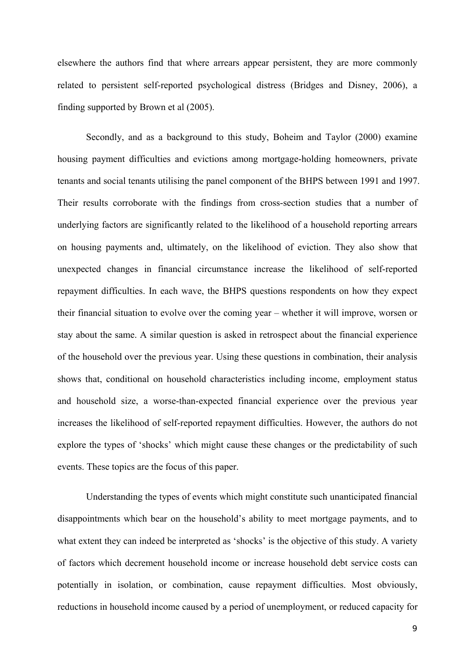elsewhere the authors find that where arrears appear persistent, they are more commonly related to persistent self-reported psychological distress (Bridges and Disney, 2006), a finding supported by Brown et al (2005).

Secondly, and as a background to this study, Boheim and Taylor (2000) examine housing payment difficulties and evictions among mortgage-holding homeowners, private tenants and social tenants utilising the panel component of the BHPS between 1991 and 1997. Their results corroborate with the findings from cross-section studies that a number of underlying factors are significantly related to the likelihood of a household reporting arrears on housing payments and, ultimately, on the likelihood of eviction. They also show that unexpected changes in financial circumstance increase the likelihood of self-reported repayment difficulties. In each wave, the BHPS questions respondents on how they expect their financial situation to evolve over the coming year – whether it will improve, worsen or stay about the same. A similar question is asked in retrospect about the financial experience of the household over the previous year. Using these questions in combination, their analysis shows that, conditional on household characteristics including income, employment status and household size, a worse-than-expected financial experience over the previous year increases the likelihood of self-reported repayment difficulties. However, the authors do not explore the types of 'shocks' which might cause these changes or the predictability of such events. These topics are the focus of this paper.

Understanding the types of events which might constitute such unanticipated financial disappointments which bear on the household's ability to meet mortgage payments, and to what extent they can indeed be interpreted as 'shocks' is the objective of this study. A variety of factors which decrement household income or increase household debt service costs can potentially in isolation, or combination, cause repayment difficulties. Most obviously, reductions in household income caused by a period of unemployment, or reduced capacity for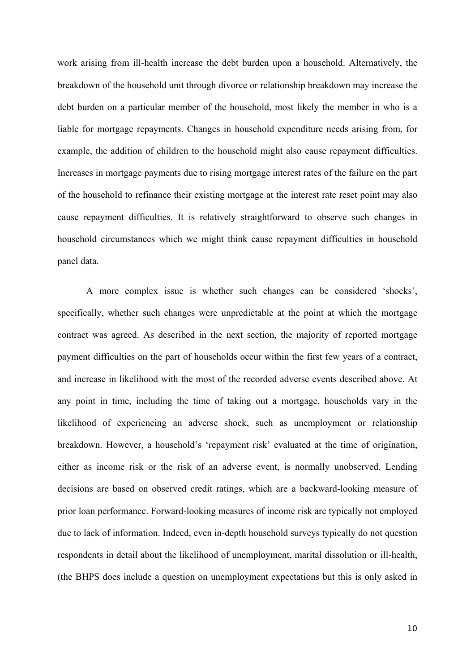work arising from ill-health increase the debt burden upon a household. Alternatively, the breakdown of the household unit through divorce or relationship breakdown may increase the debt burden on a particular member of the household, most likely the member in who is a liable for mortgage repayments. Changes in household expenditure needs arising from, for example, the addition of children to the household might also cause repayment difficulties. Increases in mortgage payments due to rising mortgage interest rates of the failure on the part of the household to refinance their existing mortgage at the interest rate reset point may also cause repayment difficulties. It is relatively straightforward to observe such changes in household circumstances which we might think cause repayment difficulties in household panel data.

A more complex issue is whether such changes can be considered 'shocks', specifically, whether such changes were unpredictable at the point at which the mortgage contract was agreed. As described in the next section, the majority of reported mortgage payment difficulties on the part of households occur within the first few years of a contract, and increase in likelihood with the most of the recorded adverse events described above. At any point in time, including the time of taking out a mortgage, households vary in the likelihood of experiencing an adverse shock, such as unemployment or relationship breakdown. However, a household's 'repayment risk' evaluated at the time of origination, either as income risk or the risk of an adverse event, is normally unobserved. Lending decisions are based on observed credit ratings, which are a backward-looking measure of prior loan performance. Forward-looking measures of income risk are typically not employed due to lack of information. Indeed, even in-depth household surveys typically do not question respondents in detail about the likelihood of unemployment, marital dissolution or ill-health, (the BHPS does include a question on unemployment expectations but this is only asked in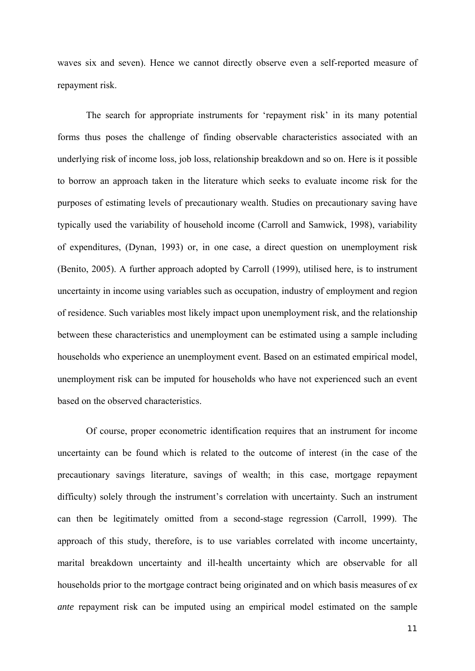waves six and seven). Hence we cannot directly observe even a self-reported measure of repayment risk.

The search for appropriate instruments for 'repayment risk' in its many potential forms thus poses the challenge of finding observable characteristics associated with an underlying risk of income loss, job loss, relationship breakdown and so on. Here is it possible to borrow an approach taken in the literature which seeks to evaluate income risk for the purposes of estimating levels of precautionary wealth. Studies on precautionary saving have typically used the variability of household income (Carroll and Samwick, 1998), variability of expenditures, (Dynan, 1993) or, in one case, a direct question on unemployment risk (Benito, 2005). A further approach adopted by Carroll (1999), utilised here, is to instrument uncertainty in income using variables such as occupation, industry of employment and region of residence. Such variables most likely impact upon unemployment risk, and the relationship between these characteristics and unemployment can be estimated using a sample including households who experience an unemployment event. Based on an estimated empirical model, unemployment risk can be imputed for households who have not experienced such an event based on the observed characteristics.

Of course, proper econometric identification requires that an instrument for income uncertainty can be found which is related to the outcome of interest (in the case of the precautionary savings literature, savings of wealth; in this case, mortgage repayment difficulty) solely through the instrument's correlation with uncertainty. Such an instrument can then be legitimately omitted from a second-stage regression (Carroll, 1999). The approach of this study, therefore, is to use variables correlated with income uncertainty, marital breakdown uncertainty and ill-health uncertainty which are observable for all households prior to the mortgage contract being originated and on which basis measures of e*x ante* repayment risk can be imputed using an empirical model estimated on the sample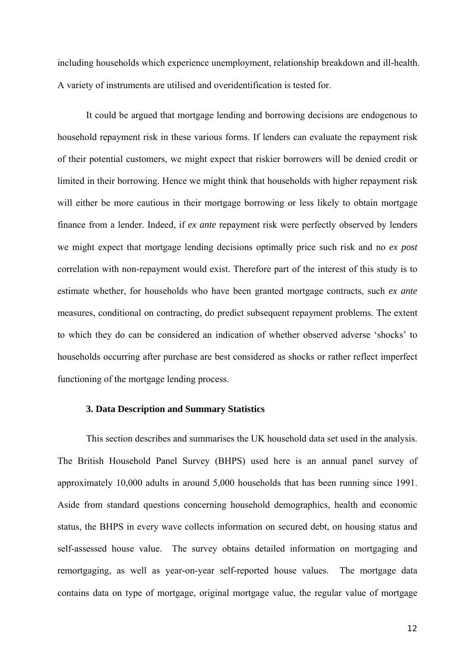including households which experience unemployment, relationship breakdown and ill-health. A variety of instruments are utilised and overidentification is tested for.

It could be argued that mortgage lending and borrowing decisions are endogenous to household repayment risk in these various forms. If lenders can evaluate the repayment risk of their potential customers, we might expect that riskier borrowers will be denied credit or limited in their borrowing. Hence we might think that households with higher repayment risk will either be more cautious in their mortgage borrowing or less likely to obtain mortgage finance from a lender. Indeed, if *ex ante* repayment risk were perfectly observed by lenders we might expect that mortgage lending decisions optimally price such risk and no *ex post* correlation with non-repayment would exist. Therefore part of the interest of this study is to estimate whether, for households who have been granted mortgage contracts, such *ex ante* measures, conditional on contracting, do predict subsequent repayment problems. The extent to which they do can be considered an indication of whether observed adverse 'shocks' to households occurring after purchase are best considered as shocks or rather reflect imperfect functioning of the mortgage lending process.

#### **3. Data Description and Summary Statistics**

This section describes and summarises the UK household data set used in the analysis. The British Household Panel Survey (BHPS) used here is an annual panel survey of approximately 10,000 adults in around 5,000 households that has been running since 1991. Aside from standard questions concerning household demographics, health and economic status, the BHPS in every wave collects information on secured debt, on housing status and self-assessed house value. The survey obtains detailed information on mortgaging and remortgaging, as well as year-on-year self-reported house values. The mortgage data contains data on type of mortgage, original mortgage value, the regular value of mortgage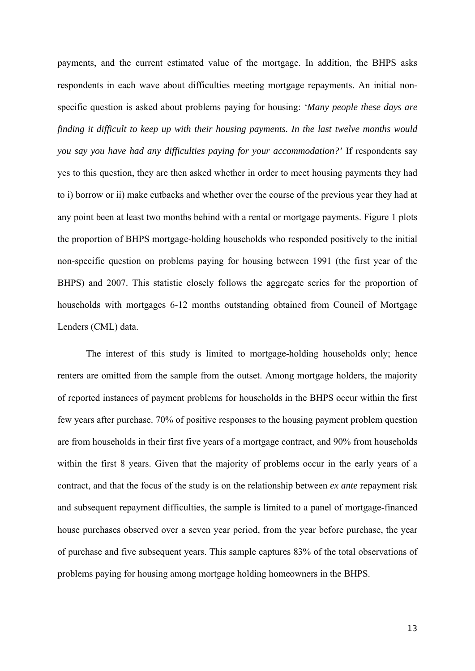payments, and the current estimated value of the mortgage. In addition, the BHPS asks respondents in each wave about difficulties meeting mortgage repayments. An initial nonspecific question is asked about problems paying for housing: *'Many people these days are finding it difficult to keep up with their housing payments. In the last twelve months would you say you have had any difficulties paying for your accommodation?'* If respondents say yes to this question, they are then asked whether in order to meet housing payments they had to i) borrow or ii) make cutbacks and whether over the course of the previous year they had at any point been at least two months behind with a rental or mortgage payments. Figure 1 plots the proportion of BHPS mortgage-holding households who responded positively to the initial non-specific question on problems paying for housing between 1991 (the first year of the BHPS) and 2007. This statistic closely follows the aggregate series for the proportion of households with mortgages 6-12 months outstanding obtained from Council of Mortgage Lenders (CML) data.

The interest of this study is limited to mortgage-holding households only; hence renters are omitted from the sample from the outset. Among mortgage holders, the majority of reported instances of payment problems for households in the BHPS occur within the first few years after purchase. 70% of positive responses to the housing payment problem question are from households in their first five years of a mortgage contract, and 90% from households within the first 8 years. Given that the majority of problems occur in the early years of a contract, and that the focus of the study is on the relationship between *ex ante* repayment risk and subsequent repayment difficulties, the sample is limited to a panel of mortgage-financed house purchases observed over a seven year period, from the year before purchase, the year of purchase and five subsequent years. This sample captures 83% of the total observations of problems paying for housing among mortgage holding homeowners in the BHPS.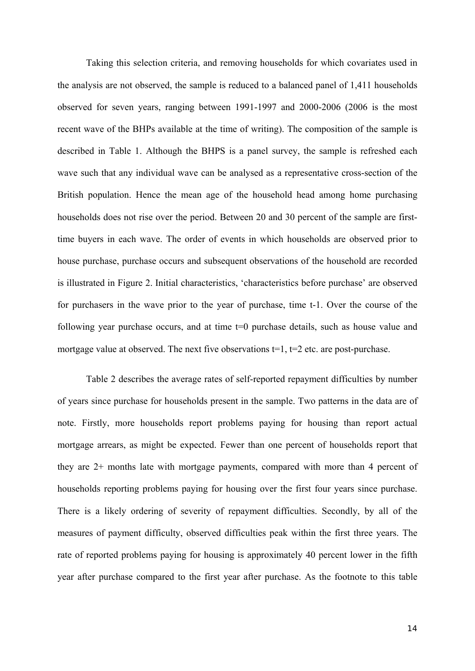Taking this selection criteria, and removing households for which covariates used in the analysis are not observed, the sample is reduced to a balanced panel of 1,411 households observed for seven years, ranging between 1991-1997 and 2000-2006 (2006 is the most recent wave of the BHPs available at the time of writing). The composition of the sample is described in Table 1. Although the BHPS is a panel survey, the sample is refreshed each wave such that any individual wave can be analysed as a representative cross-section of the British population. Hence the mean age of the household head among home purchasing households does not rise over the period. Between 20 and 30 percent of the sample are firsttime buyers in each wave. The order of events in which households are observed prior to house purchase, purchase occurs and subsequent observations of the household are recorded is illustrated in Figure 2. Initial characteristics, 'characteristics before purchase' are observed for purchasers in the wave prior to the year of purchase, time t-1. Over the course of the following year purchase occurs, and at time t=0 purchase details, such as house value and mortgage value at observed. The next five observations  $t=1$ ,  $t=2$  etc. are post-purchase.

Table 2 describes the average rates of self-reported repayment difficulties by number of years since purchase for households present in the sample. Two patterns in the data are of note. Firstly, more households report problems paying for housing than report actual mortgage arrears, as might be expected. Fewer than one percent of households report that they are 2+ months late with mortgage payments, compared with more than 4 percent of households reporting problems paying for housing over the first four years since purchase. There is a likely ordering of severity of repayment difficulties. Secondly, by all of the measures of payment difficulty, observed difficulties peak within the first three years. The rate of reported problems paying for housing is approximately 40 percent lower in the fifth year after purchase compared to the first year after purchase. As the footnote to this table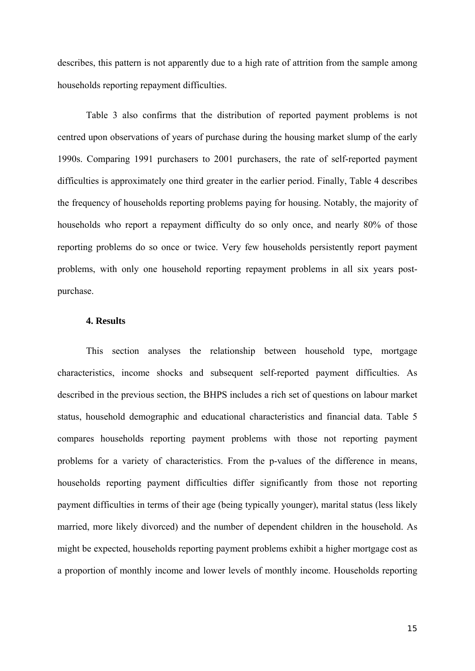describes, this pattern is not apparently due to a high rate of attrition from the sample among households reporting repayment difficulties.

Table 3 also confirms that the distribution of reported payment problems is not centred upon observations of years of purchase during the housing market slump of the early 1990s. Comparing 1991 purchasers to 2001 purchasers, the rate of self-reported payment difficulties is approximately one third greater in the earlier period. Finally, Table 4 describes the frequency of households reporting problems paying for housing. Notably, the majority of households who report a repayment difficulty do so only once, and nearly 80% of those reporting problems do so once or twice. Very few households persistently report payment problems, with only one household reporting repayment problems in all six years postpurchase.

#### **4. Results**

This section analyses the relationship between household type, mortgage characteristics, income shocks and subsequent self-reported payment difficulties. As described in the previous section, the BHPS includes a rich set of questions on labour market status, household demographic and educational characteristics and financial data. Table 5 compares households reporting payment problems with those not reporting payment problems for a variety of characteristics. From the p-values of the difference in means, households reporting payment difficulties differ significantly from those not reporting payment difficulties in terms of their age (being typically younger), marital status (less likely married, more likely divorced) and the number of dependent children in the household. As might be expected, households reporting payment problems exhibit a higher mortgage cost as a proportion of monthly income and lower levels of monthly income. Households reporting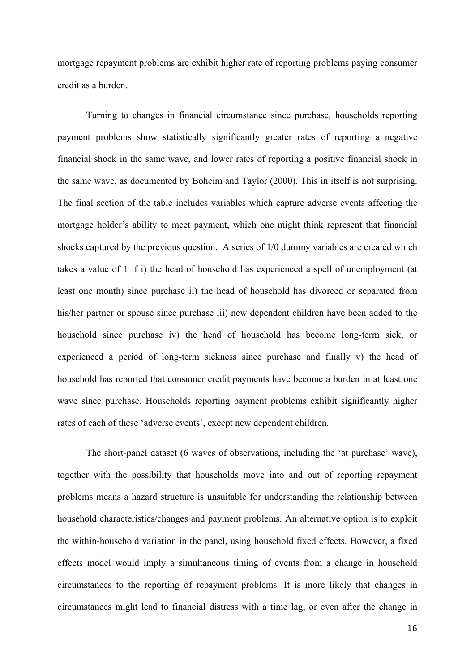mortgage repayment problems are exhibit higher rate of reporting problems paying consumer credit as a burden.

Turning to changes in financial circumstance since purchase, households reporting payment problems show statistically significantly greater rates of reporting a negative financial shock in the same wave, and lower rates of reporting a positive financial shock in the same wave, as documented by Boheim and Taylor (2000). This in itself is not surprising. The final section of the table includes variables which capture adverse events affecting the mortgage holder's ability to meet payment, which one might think represent that financial shocks captured by the previous question. A series of 1/0 dummy variables are created which takes a value of 1 if i) the head of household has experienced a spell of unemployment (at least one month) since purchase ii) the head of household has divorced or separated from his/her partner or spouse since purchase iii) new dependent children have been added to the household since purchase iv) the head of household has become long-term sick, or experienced a period of long-term sickness since purchase and finally v) the head of household has reported that consumer credit payments have become a burden in at least one wave since purchase. Households reporting payment problems exhibit significantly higher rates of each of these 'adverse events', except new dependent children.

The short-panel dataset (6 waves of observations, including the 'at purchase' wave), together with the possibility that households move into and out of reporting repayment problems means a hazard structure is unsuitable for understanding the relationship between household characteristics/changes and payment problems. An alternative option is to exploit the within-household variation in the panel, using household fixed effects. However, a fixed effects model would imply a simultaneous timing of events from a change in household circumstances to the reporting of repayment problems. It is more likely that changes in circumstances might lead to financial distress with a time lag, or even after the change in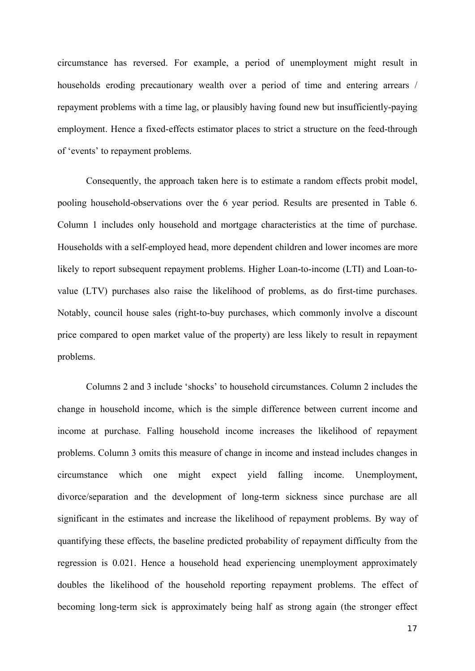circumstance has reversed. For example, a period of unemployment might result in households eroding precautionary wealth over a period of time and entering arrears / repayment problems with a time lag, or plausibly having found new but insufficiently-paying employment. Hence a fixed-effects estimator places to strict a structure on the feed-through of 'events' to repayment problems.

Consequently, the approach taken here is to estimate a random effects probit model, pooling household-observations over the 6 year period. Results are presented in Table 6. Column 1 includes only household and mortgage characteristics at the time of purchase. Households with a self-employed head, more dependent children and lower incomes are more likely to report subsequent repayment problems. Higher Loan-to-income (LTI) and Loan-tovalue (LTV) purchases also raise the likelihood of problems, as do first-time purchases. Notably, council house sales (right-to-buy purchases, which commonly involve a discount price compared to open market value of the property) are less likely to result in repayment problems.

Columns 2 and 3 include 'shocks' to household circumstances. Column 2 includes the change in household income, which is the simple difference between current income and income at purchase. Falling household income increases the likelihood of repayment problems. Column 3 omits this measure of change in income and instead includes changes in circumstance which one might expect yield falling income. Unemployment, divorce/separation and the development of long-term sickness since purchase are all significant in the estimates and increase the likelihood of repayment problems. By way of quantifying these effects, the baseline predicted probability of repayment difficulty from the regression is 0.021. Hence a household head experiencing unemployment approximately doubles the likelihood of the household reporting repayment problems. The effect of becoming long-term sick is approximately being half as strong again (the stronger effect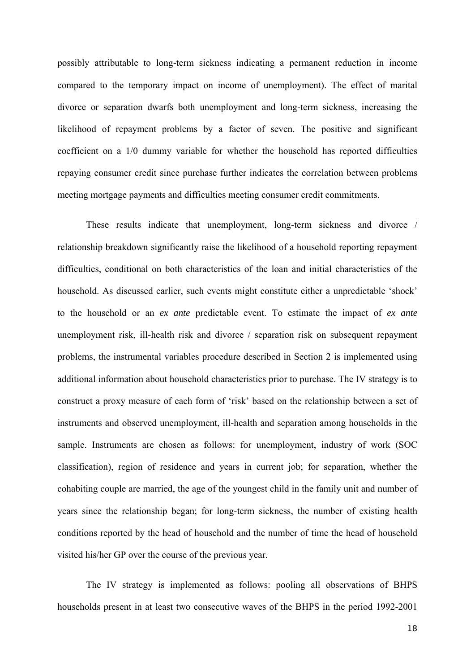possibly attributable to long-term sickness indicating a permanent reduction in income compared to the temporary impact on income of unemployment). The effect of marital divorce or separation dwarfs both unemployment and long-term sickness, increasing the likelihood of repayment problems by a factor of seven. The positive and significant coefficient on a 1/0 dummy variable for whether the household has reported difficulties repaying consumer credit since purchase further indicates the correlation between problems meeting mortgage payments and difficulties meeting consumer credit commitments.

These results indicate that unemployment, long-term sickness and divorce / relationship breakdown significantly raise the likelihood of a household reporting repayment difficulties, conditional on both characteristics of the loan and initial characteristics of the household. As discussed earlier, such events might constitute either a unpredictable 'shock' to the household or an *ex ante* predictable event. To estimate the impact of *ex ante* unemployment risk, ill-health risk and divorce / separation risk on subsequent repayment problems, the instrumental variables procedure described in Section 2 is implemented using additional information about household characteristics prior to purchase. The IV strategy is to construct a proxy measure of each form of 'risk' based on the relationship between a set of instruments and observed unemployment, ill-health and separation among households in the sample. Instruments are chosen as follows: for unemployment, industry of work (SOC classification), region of residence and years in current job; for separation, whether the cohabiting couple are married, the age of the youngest child in the family unit and number of years since the relationship began; for long-term sickness, the number of existing health conditions reported by the head of household and the number of time the head of household visited his/her GP over the course of the previous year.

The IV strategy is implemented as follows: pooling all observations of BHPS households present in at least two consecutive waves of the BHPS in the period 1992-2001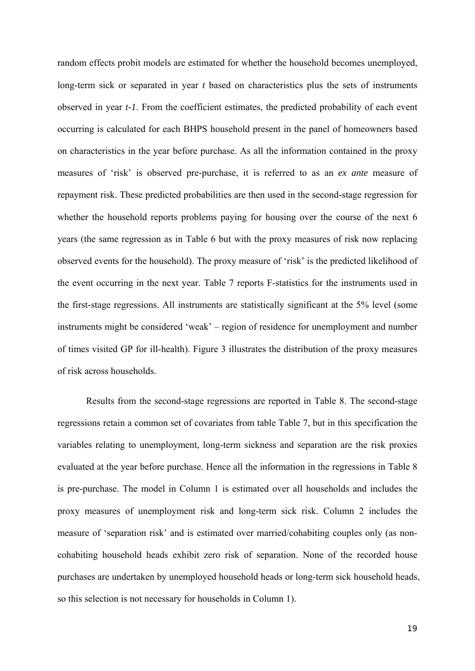random effects probit models are estimated for whether the household becomes unemployed, long-term sick or separated in year *t* based on characteristics plus the sets of instruments observed in year *t-1*. From the coefficient estimates, the predicted probability of each event occurring is calculated for each BHPS household present in the panel of homeowners based on characteristics in the year before purchase. As all the information contained in the proxy measures of 'risk' is observed pre-purchase, it is referred to as an *ex ante* measure of repayment risk. These predicted probabilities are then used in the second-stage regression for whether the household reports problems paying for housing over the course of the next 6 years (the same regression as in Table 6 but with the proxy measures of risk now replacing observed events for the household). The proxy measure of 'risk' is the predicted likelihood of the event occurring in the next year. Table 7 reports F-statistics for the instruments used in the first-stage regressions. All instruments are statistically significant at the 5% level (some instruments might be considered 'weak' – region of residence for unemployment and number of times visited GP for ill-health). Figure 3 illustrates the distribution of the proxy measures of risk across households.

Results from the second-stage regressions are reported in Table 8. The second-stage regressions retain a common set of covariates from table Table 7, but in this specification the variables relating to unemployment, long-term sickness and separation are the risk proxies evaluated at the year before purchase. Hence all the information in the regressions in Table 8 is pre-purchase. The model in Column 1 is estimated over all households and includes the proxy measures of unemployment risk and long-term sick risk. Column 2 includes the measure of 'separation risk' and is estimated over married/cohabiting couples only (as noncohabiting household heads exhibit zero risk of separation. None of the recorded house purchases are undertaken by unemployed household heads or long-term sick household heads, so this selection is not necessary for households in Column 1).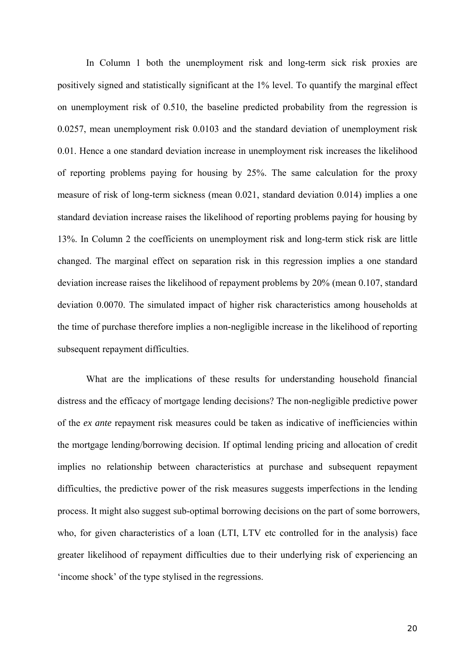In Column 1 both the unemployment risk and long-term sick risk proxies are positively signed and statistically significant at the 1% level. To quantify the marginal effect on unemployment risk of 0.510, the baseline predicted probability from the regression is 0.0257, mean unemployment risk 0.0103 and the standard deviation of unemployment risk 0.01. Hence a one standard deviation increase in unemployment risk increases the likelihood of reporting problems paying for housing by 25%. The same calculation for the proxy measure of risk of long-term sickness (mean 0.021, standard deviation 0.014) implies a one standard deviation increase raises the likelihood of reporting problems paying for housing by 13%. In Column 2 the coefficients on unemployment risk and long-term stick risk are little changed. The marginal effect on separation risk in this regression implies a one standard deviation increase raises the likelihood of repayment problems by 20% (mean 0.107, standard deviation 0.0070. The simulated impact of higher risk characteristics among households at the time of purchase therefore implies a non-negligible increase in the likelihood of reporting subsequent repayment difficulties.

What are the implications of these results for understanding household financial distress and the efficacy of mortgage lending decisions? The non-negligible predictive power of the *ex ante* repayment risk measures could be taken as indicative of inefficiencies within the mortgage lending/borrowing decision. If optimal lending pricing and allocation of credit implies no relationship between characteristics at purchase and subsequent repayment difficulties, the predictive power of the risk measures suggests imperfections in the lending process. It might also suggest sub-optimal borrowing decisions on the part of some borrowers, who, for given characteristics of a loan (LTI, LTV etc controlled for in the analysis) face greater likelihood of repayment difficulties due to their underlying risk of experiencing an 'income shock' of the type stylised in the regressions.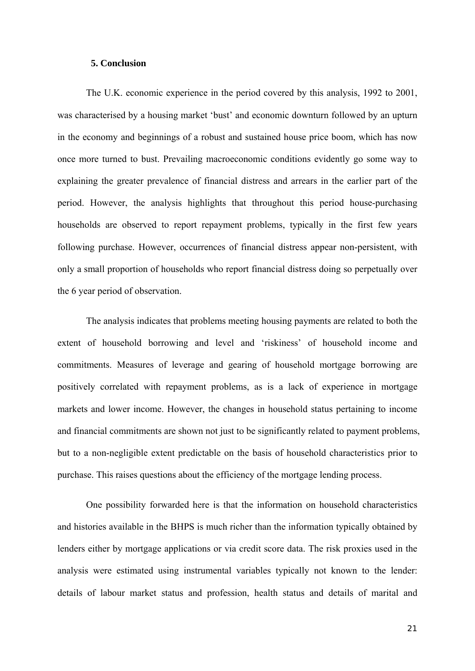#### **5. Conclusion**

 The U.K. economic experience in the period covered by this analysis, 1992 to 2001, was characterised by a housing market 'bust' and economic downturn followed by an upturn in the economy and beginnings of a robust and sustained house price boom, which has now once more turned to bust. Prevailing macroeconomic conditions evidently go some way to explaining the greater prevalence of financial distress and arrears in the earlier part of the period. However, the analysis highlights that throughout this period house-purchasing households are observed to report repayment problems, typically in the first few years following purchase. However, occurrences of financial distress appear non-persistent, with only a small proportion of households who report financial distress doing so perpetually over the 6 year period of observation.

 The analysis indicates that problems meeting housing payments are related to both the extent of household borrowing and level and 'riskiness' of household income and commitments. Measures of leverage and gearing of household mortgage borrowing are positively correlated with repayment problems, as is a lack of experience in mortgage markets and lower income. However, the changes in household status pertaining to income and financial commitments are shown not just to be significantly related to payment problems, but to a non-negligible extent predictable on the basis of household characteristics prior to purchase. This raises questions about the efficiency of the mortgage lending process.

One possibility forwarded here is that the information on household characteristics and histories available in the BHPS is much richer than the information typically obtained by lenders either by mortgage applications or via credit score data. The risk proxies used in the analysis were estimated using instrumental variables typically not known to the lender: details of labour market status and profession, health status and details of marital and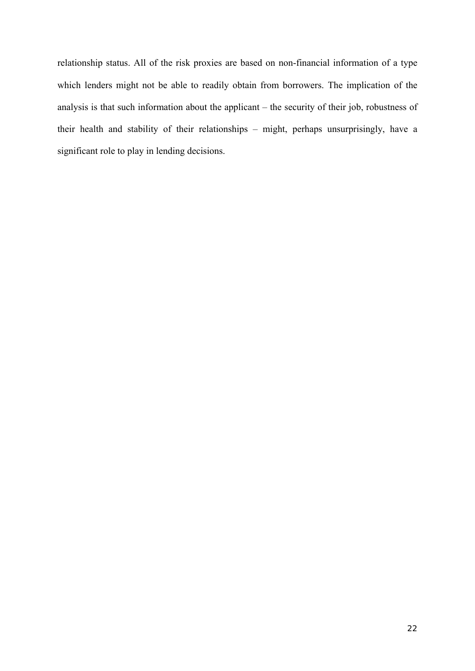relationship status. All of the risk proxies are based on non-financial information of a type which lenders might not be able to readily obtain from borrowers. The implication of the analysis is that such information about the applicant – the security of their job, robustness of their health and stability of their relationships – might, perhaps unsurprisingly, have a significant role to play in lending decisions.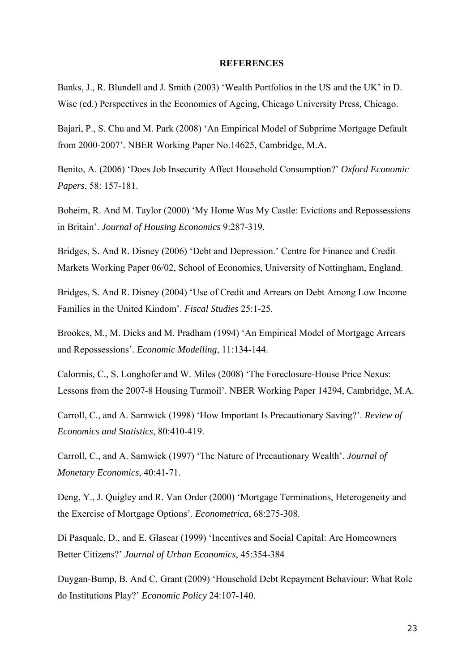#### **REFERENCES**

Banks, J., R. Blundell and J. Smith (2003) 'Wealth Portfolios in the US and the UK' in D. Wise (ed.) Perspectives in the Economics of Ageing, Chicago University Press, Chicago.

Bajari, P., S. Chu and M. Park (2008) 'An Empirical Model of Subprime Mortgage Default from 2000-2007'. NBER Working Paper No.14625, Cambridge, M.A.

Benito, A. (2006) 'Does Job Insecurity Affect Household Consumption?' *Oxford Economic Papers*, 58: 157-181.

Boheim, R. And M. Taylor (2000) 'My Home Was My Castle: Evictions and Repossessions in Britain'. *Journal of Housing Economics* 9:287-319.

Bridges, S. And R. Disney (2006) 'Debt and Depression.' Centre for Finance and Credit Markets Working Paper 06/02, School of Economics, University of Nottingham, England.

Bridges, S. And R. Disney (2004) 'Use of Credit and Arrears on Debt Among Low Income Families in the United Kindom'. *Fiscal Studies* 25:1-25.

Brookes, M., M. Dicks and M. Pradham (1994) 'An Empirical Model of Mortgage Arrears and Repossessions'. *Economic Modelling*, 11:134-144.

Calormis, C., S. Longhofer and W. Miles (2008) 'The Foreclosure-House Price Nexus: Lessons from the 2007-8 Housing Turmoil'. NBER Working Paper 14294, Cambridge, M.A.

Carroll, C., and A. Samwick (1998) 'How Important Is Precautionary Saving?'. *Review of Economics and Statistics*, 80:410-419.

Carroll, C., and A. Samwick (1997) 'The Nature of Precautionary Wealth'. *Journal of Monetary Economics*, 40:41-71.

Deng, Y., J. Quigley and R. Van Order (2000) 'Mortgage Terminations, Heterogeneity and the Exercise of Mortgage Options'. *Econometrica*, 68:275-308.

Di Pasquale, D., and E. Glasear (1999) 'Incentives and Social Capital: Are Homeowners Better Citizens?' *Journal of Urban Economics*, 45:354-384

Duygan-Bump, B. And C. Grant (2009) 'Household Debt Repayment Behaviour: What Role do Institutions Play?' *Economic Policy* 24:107-140.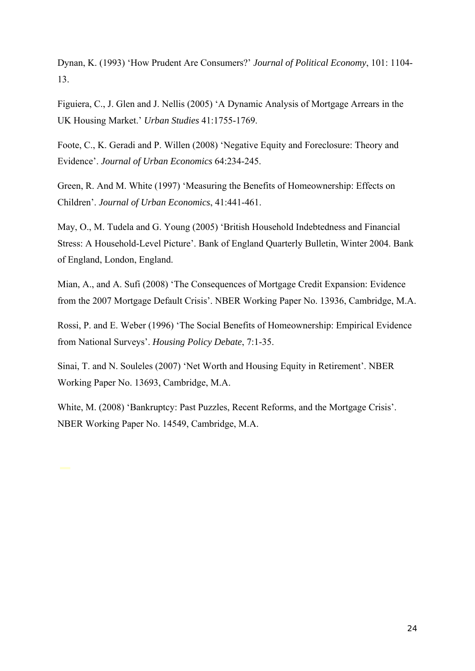Dynan, K. (1993) 'How Prudent Are Consumers?' *Journal of Political Economy*, 101: 1104- 13.

Figuiera, C., J. Glen and J. Nellis (2005) 'A Dynamic Analysis of Mortgage Arrears in the UK Housing Market.' *Urban Studies* 41:1755-1769.

Foote, C., K. Geradi and P. Willen (2008) 'Negative Equity and Foreclosure: Theory and Evidence'. *Journal of Urban Economics* 64:234-245.

Green, R. And M. White (1997) 'Measuring the Benefits of Homeownership: Effects on Children'. *Journal of Urban Economics*, 41:441-461.

May, O., M. Tudela and G. Young (2005) 'British Household Indebtedness and Financial Stress: A Household-Level Picture'. Bank of England Quarterly Bulletin, Winter 2004. Bank of England, London, England.

Mian, A., and A. Sufi (2008) 'The Consequences of Mortgage Credit Expansion: Evidence from the 2007 Mortgage Default Crisis'. NBER Working Paper No. 13936, Cambridge, M.A.

Rossi, P. and E. Weber (1996) 'The Social Benefits of Homeownership: Empirical Evidence from National Surveys'. *Housing Policy Debate*, 7:1-35.

Sinai, T. and N. Souleles (2007) 'Net Worth and Housing Equity in Retirement'. NBER Working Paper No. 13693, Cambridge, M.A.

White, M. (2008) 'Bankruptcy: Past Puzzles, Recent Reforms, and the Mortgage Crisis'. NBER Working Paper No. 14549, Cambridge, M.A.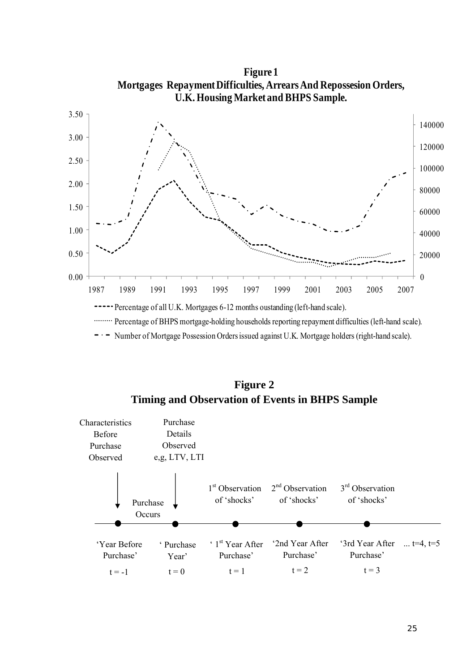

**Figure 2 Timing and Observation of Events in BHPS Sample** 

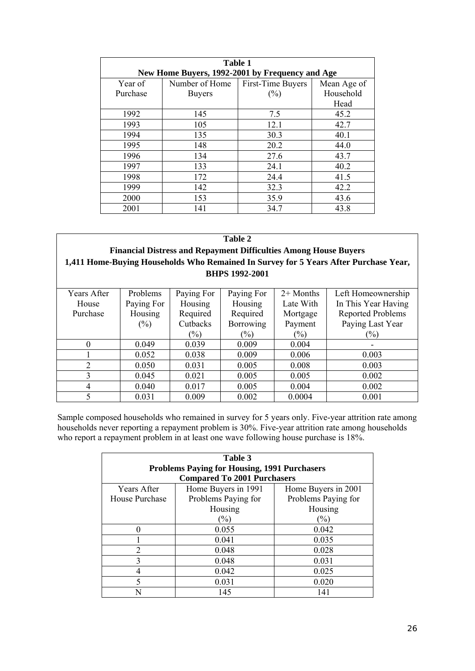|          | Table 1                                         |                   |             |  |
|----------|-------------------------------------------------|-------------------|-------------|--|
|          | New Home Buyers, 1992-2001 by Frequency and Age |                   |             |  |
| Year of  | Number of Home                                  | First-Time Buyers | Mean Age of |  |
| Purchase | <b>Buyers</b>                                   | $(\%)$            | Household   |  |
|          |                                                 |                   | Head        |  |
| 1992     | 145                                             | 7.5               | 45.2        |  |
| 1993     | 105                                             | 12.1              | 42.7        |  |
| 1994     | 135                                             | 30.3              | 40.1        |  |
| 1995     | 148                                             | 20.2              | 44.0        |  |
| 1996     | 134                                             | 27.6              | 43.7        |  |
| 1997     | 133                                             | 24.1              | 40.2        |  |
| 1998     | 172                                             | 24.4              | 41.5        |  |
| 1999     | 142                                             | 32.3              | 42.2        |  |
| 2000     | 153                                             | 35.9              | 43.6        |  |
| 2001     | 141                                             | 34.7              | 43.8        |  |

| Table 2     |                                                                         |            |                       |               |                                                                                      |  |
|-------------|-------------------------------------------------------------------------|------------|-----------------------|---------------|--------------------------------------------------------------------------------------|--|
|             | <b>Financial Distress and Repayment Difficulties Among House Buyers</b> |            |                       |               |                                                                                      |  |
|             |                                                                         |            |                       |               | 1,411 Home-Buying Households Who Remained In Survey for 5 Years After Purchase Year, |  |
|             |                                                                         |            | <b>BHPS 1992-2001</b> |               |                                                                                      |  |
|             |                                                                         |            |                       |               |                                                                                      |  |
| Years After | <b>Problems</b>                                                         | Paying For | Paying For            | $2+$ Months   | Left Homeownership                                                                   |  |
| House       | Paying For                                                              | Housing    | Housing               | Late With     | In This Year Having                                                                  |  |
| Purchase    | Housing                                                                 | Required   | Required              | Mortgage      | <b>Reported Problems</b>                                                             |  |
|             | $(\%)$                                                                  | Cutbacks   | <b>Borrowing</b>      | Payment       | Paying Last Year                                                                     |  |
|             |                                                                         | $(\%)$     | $\frac{1}{2}$         | $\frac{1}{2}$ | $(\%)$                                                                               |  |
| $\Omega$    | 0.049                                                                   | 0.039      | 0.009                 | 0.004         |                                                                                      |  |
|             | 0.052                                                                   | 0.038      | 0.009                 | 0.006         | 0.003                                                                                |  |

Sample composed households who remained in survey for 5 years only. Five-year attrition rate among households never reporting a repayment problem is 30%. Five-year attrition rate among households who report a repayment problem in at least one wave following house purchase is 18%.

2 0.050 0.031 0.005 0.008 0.003 3 0.045 0.021 0.005 0.005 0.002 4 0.040 0.017 0.005 0.004 0.002 5 0.031 0.009 0.002 0.0004 0.001

| Table 3<br><b>Problems Paying for Housing, 1991 Purchasers</b> |                                    |                     |  |  |
|----------------------------------------------------------------|------------------------------------|---------------------|--|--|
|                                                                | <b>Compared To 2001 Purchasers</b> |                     |  |  |
| Years After                                                    | Home Buyers in 1991                | Home Buyers in 2001 |  |  |
| House Purchase                                                 | Problems Paying for                | Problems Paying for |  |  |
|                                                                | Housing                            | Housing             |  |  |
|                                                                | $(\%)$                             | $(\%)$              |  |  |
|                                                                | 0.055                              | 0.042               |  |  |
|                                                                | 0.041                              | 0.035               |  |  |
| $\mathfrak{D}$                                                 | 0.048                              | 0.028               |  |  |
| 3                                                              | 0.048                              | 0.031               |  |  |
| 4                                                              | 0.042                              | 0.025               |  |  |
| $\varsigma$                                                    | 0.031                              | 0.020               |  |  |
| N                                                              | 145                                | 141                 |  |  |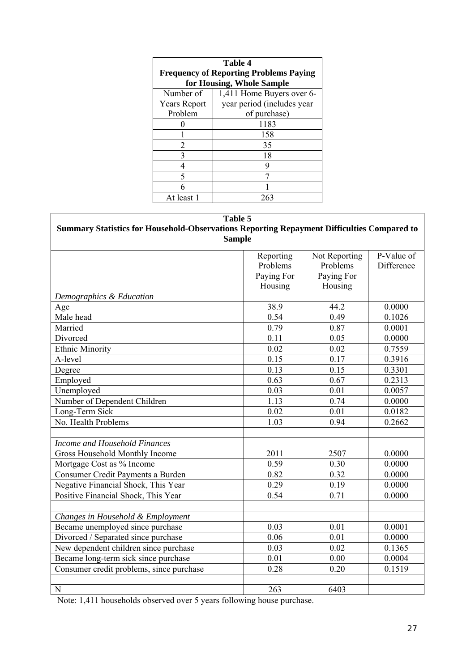| <b>Table 4</b><br><b>Frequency of Reporting Problems Paying</b> |                            |  |  |
|-----------------------------------------------------------------|----------------------------|--|--|
| for Housing, Whole Sample                                       |                            |  |  |
| Number of                                                       | 1,411 Home Buyers over 6-  |  |  |
| <b>Years Report</b>                                             | year period (includes year |  |  |
| Problem                                                         | of purchase)               |  |  |
|                                                                 | 1183                       |  |  |
|                                                                 | 158                        |  |  |
| 2                                                               | 35                         |  |  |
| 3                                                               | 18                         |  |  |
|                                                                 | 9                          |  |  |
| 5                                                               |                            |  |  |
|                                                                 |                            |  |  |
| At least 1                                                      | 263                        |  |  |

| Table 5<br>Summary Statistics for Household-Observations Reporting Repayment Difficulties Compared to<br><b>Sample</b> |                                                |                                                    |                          |  |
|------------------------------------------------------------------------------------------------------------------------|------------------------------------------------|----------------------------------------------------|--------------------------|--|
|                                                                                                                        | Reporting<br>Problems<br>Paying For<br>Housing | Not Reporting<br>Problems<br>Paying For<br>Housing | P-Value of<br>Difference |  |
| Demographics & Education                                                                                               |                                                |                                                    |                          |  |
| Age                                                                                                                    | 38.9                                           | 44.2                                               | 0.0000                   |  |
| Male head                                                                                                              | 0.54                                           | 0.49                                               | 0.1026                   |  |
| Married                                                                                                                | 0.79                                           | 0.87                                               | 0.0001                   |  |
| Divorced                                                                                                               | 0.11                                           | 0.05                                               | 0.0000                   |  |
| <b>Ethnic Minority</b>                                                                                                 | 0.02                                           | 0.02                                               | 0.7559                   |  |
| A-level                                                                                                                | 0.15                                           | 0.17                                               | 0.3916                   |  |
| Degree                                                                                                                 | 0.13                                           | 0.15                                               | 0.3301                   |  |
| Employed                                                                                                               | 0.63                                           | 0.67                                               | 0.2313                   |  |
| Unemployed                                                                                                             | 0.03                                           | 0.01                                               | 0.0057                   |  |
| Number of Dependent Children                                                                                           | 1.13                                           | 0.74                                               | 0.0000                   |  |
| Long-Term Sick                                                                                                         | 0.02                                           | 0.01                                               | 0.0182                   |  |
| No. Health Problems                                                                                                    | 1.03                                           | 0.94                                               | 0.2662                   |  |
| Income and Household Finances                                                                                          |                                                |                                                    |                          |  |
| Gross Household Monthly Income                                                                                         | 2011                                           | 2507                                               | 0.0000                   |  |
| Mortgage Cost as % Income                                                                                              | 0.59                                           | 0.30                                               | 0.0000                   |  |
| Consumer Credit Payments a Burden                                                                                      | 0.82                                           | 0.32                                               | 0.0000                   |  |
| Negative Financial Shock, This Year                                                                                    | 0.29                                           | 0.19                                               | 0.0000                   |  |
| Positive Financial Shock, This Year                                                                                    | 0.54                                           | 0.71                                               | 0.0000                   |  |
|                                                                                                                        |                                                |                                                    |                          |  |
| Changes in Household & Employment                                                                                      |                                                |                                                    |                          |  |
| Became unemployed since purchase                                                                                       | 0.03                                           | 0.01                                               | 0.0001                   |  |
| Divorced / Separated since purchase                                                                                    | 0.06                                           | 0.01                                               | 0.0000                   |  |
| New dependent children since purchase                                                                                  | 0.03                                           | 0.02                                               | 0.1365                   |  |
| Became long-term sick since purchase                                                                                   | 0.01                                           | 0.00                                               | 0.0004                   |  |
| Consumer credit problems, since purchase                                                                               | 0.28                                           | 0.20                                               | 0.1519                   |  |
| N                                                                                                                      | 263                                            | 6403                                               |                          |  |

Note: 1,411 households observed over 5 years following house purchase.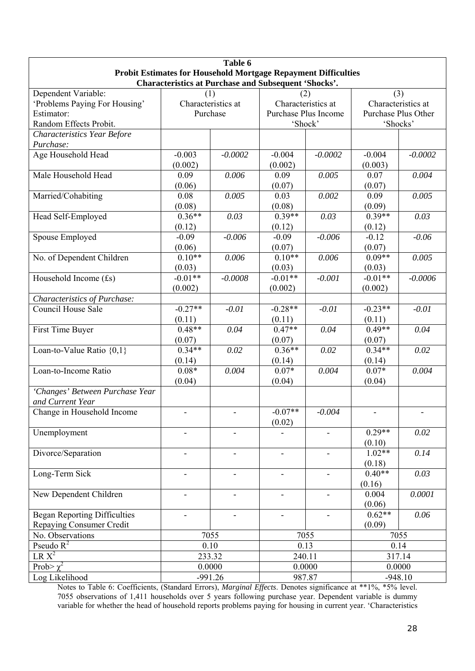| Table 6                                  |                                                                                                                                      |                          |                          |                              |                     |                    |  |
|------------------------------------------|--------------------------------------------------------------------------------------------------------------------------------------|--------------------------|--------------------------|------------------------------|---------------------|--------------------|--|
|                                          | <b>Probit Estimates for Household Mortgage Repayment Difficulties</b><br><b>Characteristics at Purchase and Subsequent 'Shocks'.</b> |                          |                          |                              |                     |                    |  |
| Dependent Variable:<br>(3)<br>(1)<br>(2) |                                                                                                                                      |                          |                          |                              |                     |                    |  |
| 'Problems Paying For Housing'            | Characteristics at                                                                                                                   |                          |                          | Characteristics at           |                     | Characteristics at |  |
| Estimator:                               | Purchase                                                                                                                             |                          | Purchase Plus Income     |                              | Purchase Plus Other |                    |  |
| Random Effects Probit.                   |                                                                                                                                      |                          | 'Shock'                  |                              | 'Shocks'            |                    |  |
| <b>Characteristics Year Before</b>       |                                                                                                                                      |                          |                          |                              |                     |                    |  |
| Purchase:                                |                                                                                                                                      |                          |                          |                              |                     |                    |  |
| Age Household Head                       | $-0.003$<br>(0.002)                                                                                                                  | $-0.0002$                | $-0.004$<br>(0.002)      | $-0.0002$                    | $-0.004$<br>(0.003) | $-0.0002$          |  |
| Male Household Head                      | 0.09                                                                                                                                 | 0.006                    | 0.09                     | 0.005                        | 0.07                | 0.004              |  |
|                                          | (0.06)                                                                                                                               |                          | (0.07)                   |                              | (0.07)              |                    |  |
| Married/Cohabiting                       | 0.08                                                                                                                                 | 0.005                    | 0.03                     | 0.002                        | 0.09                | 0.005              |  |
|                                          | (0.08)                                                                                                                               |                          | (0.08)                   |                              | (0.09)              |                    |  |
| Head Self-Employed                       | $0.36**$                                                                                                                             | 0.03                     | $0.39**$                 | 0.03                         | $0.39**$            | 0.03               |  |
|                                          | (0.12)                                                                                                                               |                          | (0.12)                   |                              | (0.12)              |                    |  |
| Spouse Employed                          | $-0.09$                                                                                                                              | $-0.006$                 | $-0.09$                  | $-0.006$                     | $-0.12$             | $-0.06$            |  |
|                                          | (0.06)                                                                                                                               |                          | (0.07)                   |                              | (0.07)              |                    |  |
| No. of Dependent Children                | $0.10**$                                                                                                                             | 0.006                    | $0.10**$                 | 0.006                        | $0.09**$            | 0.005              |  |
|                                          | (0.03)                                                                                                                               |                          | (0.03)                   |                              | (0.03)              |                    |  |
| Household Income (£s)                    | $-0.01**$                                                                                                                            | $-0.0008$                | $-0.01**$                | $-0.001$                     | $-0.01**$           | $-0.0006$          |  |
|                                          | (0.002)                                                                                                                              |                          | (0.002)                  |                              | (0.002)             |                    |  |
| Characteristics of Purchase:             |                                                                                                                                      |                          |                          |                              |                     |                    |  |
| <b>Council House Sale</b>                | $-0.27**$                                                                                                                            | $-0.01$                  | $-0.28**$                | $-0.01$                      | $-0.23**$           | $-0.01$            |  |
|                                          | (0.11)                                                                                                                               |                          | (0.11)                   |                              | (0.11)              |                    |  |
| First Time Buyer                         | $0.48**$                                                                                                                             | 0.04                     | $0.47**$                 | 0.04                         | $0.49**$            | 0.04               |  |
|                                          | (0.07)                                                                                                                               |                          | (0.07)                   |                              | (0.07)              |                    |  |
| Loan-to-Value Ratio {0,1}                | $0.34**$                                                                                                                             | 0.02                     | $0.36**$                 | 0.02                         | $0.34**$            | 0.02               |  |
|                                          | (0.14)<br>$0.08*$                                                                                                                    |                          | (0.14)<br>$0.07*$        |                              | (0.14)<br>$0.07*$   |                    |  |
| Loan-to-Income Ratio                     |                                                                                                                                      | 0.004                    |                          | 0.004                        |                     | 0.004              |  |
| 'Changes' Between Purchase Year          | (0.04)                                                                                                                               |                          | (0.04)                   |                              | (0.04)              |                    |  |
| and Current Year                         |                                                                                                                                      |                          |                          |                              |                     |                    |  |
| Change in Household Income               |                                                                                                                                      |                          | $-0.07**$                | $-0.004$                     |                     |                    |  |
|                                          |                                                                                                                                      |                          | (0.02)                   |                              |                     |                    |  |
| Unemployment                             |                                                                                                                                      |                          |                          |                              | $0.29**$            | 0.02               |  |
|                                          |                                                                                                                                      |                          |                          |                              | (0.10)              |                    |  |
| Divorce/Separation                       |                                                                                                                                      |                          |                          |                              | $1.02**$            | 0.14               |  |
|                                          |                                                                                                                                      |                          |                          |                              | (0.18)              |                    |  |
| Long-Term Sick                           | $\overline{\phantom{0}}$                                                                                                             | $\overline{\phantom{a}}$ | $\overline{\phantom{0}}$ | $\qquad \qquad \blacksquare$ | $0.40**$            | 0.03               |  |
|                                          |                                                                                                                                      |                          |                          |                              | (0.16)              |                    |  |
| New Dependent Children                   | ÷,                                                                                                                                   | $\blacksquare$           | $\blacksquare$           | ÷,                           | 0.004               | 0.0001             |  |
|                                          |                                                                                                                                      |                          |                          |                              | (0.06)              |                    |  |
| <b>Began Reporting Difficulties</b>      |                                                                                                                                      |                          |                          |                              | $0.62**$            | 0.06               |  |
| Repaying Consumer Credit                 |                                                                                                                                      |                          |                          |                              | (0.09)              |                    |  |
| No. Observations                         |                                                                                                                                      | 7055                     |                          | 7055                         |                     | 7055               |  |
| Pseudo $R^2$                             |                                                                                                                                      | 0.10                     | 0.13                     |                              | 0.14                |                    |  |
| $LR X^2$<br>Prob $\sqrt{\chi^2}$         |                                                                                                                                      | 233.32<br>0.0000         | 240.11                   |                              | 317.14              |                    |  |
| Log Likelihood                           |                                                                                                                                      | $-991.26$                | 0.0000<br>987.87         |                              | 0.0000<br>$-948.10$ |                    |  |
|                                          |                                                                                                                                      |                          |                          |                              |                     |                    |  |

Notes to Table 6: Coefficients, (Standard Errors), *Marginal Effects*. Denotes significance at \*\*1%, \*5% level. 7055 observations of 1,411 households over 5 years following purchase year. Dependent variable is dummy variable for whether the head of household reports problems paying for housing in current year. 'Characteristics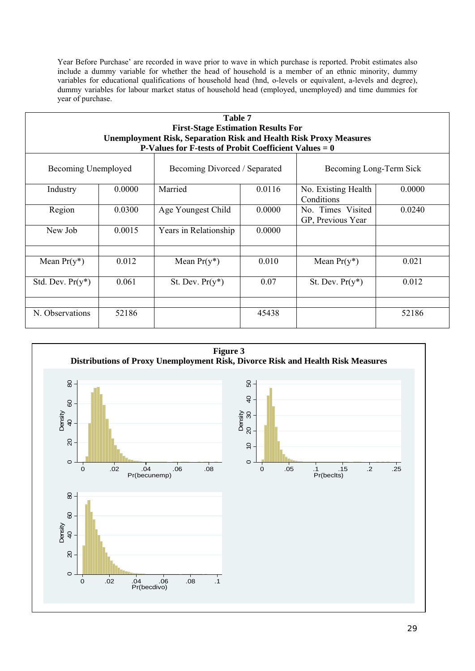Year Before Purchase' are recorded in wave prior to wave in which purchase is reported. Probit estimates also include a dummy variable for whether the head of household is a member of an ethnic minority, dummy variables for educational qualifications of household head (hnd, o-levels or equivalent, a-levels and degree), dummy variables for labour market status of household head (employed, unemployed) and time dummies for year of purchase.

| <b>Table 7</b><br><b>First-Stage Estimation Results For</b><br><b>Unemployment Risk, Separation Risk and Health Risk Proxy Measures</b><br><b>P-Values for F-tests of Probit Coefficient Values = 0</b> |        |                               |        |                                        |        |
|---------------------------------------------------------------------------------------------------------------------------------------------------------------------------------------------------------|--------|-------------------------------|--------|----------------------------------------|--------|
| Becoming Unemployed                                                                                                                                                                                     |        | Becoming Divorced / Separated |        | Becoming Long-Term Sick                |        |
| Industry                                                                                                                                                                                                | 0.0000 | Married                       | 0.0116 | No. Existing Health<br>Conditions      | 0.0000 |
| Region                                                                                                                                                                                                  | 0.0300 | Age Youngest Child            | 0.0000 | No. Times Visited<br>GP, Previous Year | 0.0240 |
| New Job                                                                                                                                                                                                 | 0.0015 | Years in Relationship         | 0.0000 |                                        |        |
| Mean $Pr(y^*)$                                                                                                                                                                                          | 0.012  | Mean $Pr(y^*)$                | 0.010  | Mean $Pr(y^*)$                         | 0.021  |
| Std. Dev. $Pr(y^*)$                                                                                                                                                                                     | 0.061  | St. Dev. $Pr(y^*)$            | 0.07   | St. Dev. $Pr(y^*)$                     | 0.012  |
| N. Observations                                                                                                                                                                                         | 52186  |                               | 45438  |                                        | 52186  |

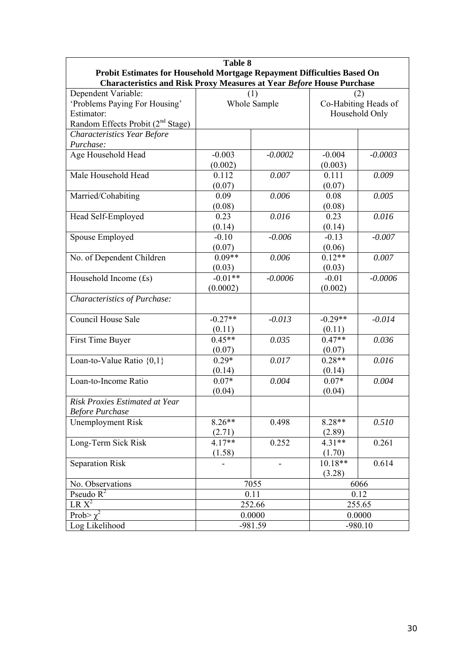| <b>Table 8</b>                                                               |            |              |           |                      |  |
|------------------------------------------------------------------------------|------------|--------------|-----------|----------------------|--|
| Probit Estimates for Household Mortgage Repayment Difficulties Based On      |            |              |           |                      |  |
| <b>Characteristics and Risk Proxy Measures at Year Before House Purchase</b> |            |              |           |                      |  |
| Dependent Variable:                                                          | (2)<br>(1) |              |           |                      |  |
| 'Problems Paying For Housing'                                                |            | Whole Sample |           | Co-Habiting Heads of |  |
| Estimator:                                                                   |            |              |           | Household Only       |  |
| Random Effects Probit (2 <sup>nd</sup> Stage)                                |            |              |           |                      |  |
| Characteristics Year Before                                                  |            |              |           |                      |  |
| Purchase:                                                                    |            |              |           |                      |  |
| Age Household Head                                                           | $-0.003$   | $-0.0002$    | $-0.004$  | $-0.0003$            |  |
|                                                                              | (0.002)    |              | (0.003)   |                      |  |
| Male Household Head                                                          | 0.112      | 0.007        | 0.111     | 0.009                |  |
|                                                                              | (0.07)     |              | (0.07)    |                      |  |
| Married/Cohabiting                                                           | 0.09       | 0.006        | 0.08      | 0.005                |  |
|                                                                              | (0.08)     |              | (0.08)    |                      |  |
| Head Self-Employed                                                           | 0.23       | 0.016        | 0.23      | 0.016                |  |
|                                                                              | (0.14)     |              | (0.14)    |                      |  |
| Spouse Employed                                                              | $-0.10$    | $-0.006$     | $-0.13$   | $-0.007$             |  |
|                                                                              | (0.07)     |              | (0.06)    |                      |  |
| No. of Dependent Children                                                    | $0.09**$   | 0.006        | $0.12**$  | 0.007                |  |
|                                                                              | (0.03)     |              | (0.03)    |                      |  |
| Household Income (£s)                                                        | $-0.01**$  | $-0.0006$    | $-0.01$   | $-0.0006$            |  |
|                                                                              | (0.0002)   |              | (0.002)   |                      |  |
| Characteristics of Purchase:                                                 |            |              |           |                      |  |
| <b>Council House Sale</b>                                                    | $-0.27**$  | $-0.013$     | $-0.29**$ | $-0.014$             |  |
|                                                                              | (0.11)     |              | (0.11)    |                      |  |
| First Time Buyer                                                             | $0.45**$   | 0.035        | $0.47**$  | 0.036                |  |
|                                                                              | (0.07)     |              | (0.07)    |                      |  |
| Loan-to-Value Ratio {0,1}                                                    | $0.29*$    | 0.017        | $0.28**$  | 0.016                |  |
|                                                                              | (0.14)     |              | (0.14)    |                      |  |
| Loan-to-Income Ratio                                                         | $0.07*$    | 0.004        | $0.07*$   | 0.004                |  |
|                                                                              | (0.04)     |              | (0.04)    |                      |  |
| Risk Proxies Estimated at Year                                               |            |              |           |                      |  |
| <b>Before Purchase</b>                                                       |            |              |           |                      |  |
| <b>Unemployment Risk</b>                                                     | $8.26**$   | 0.498        | 8.28**    | 0.510                |  |
|                                                                              | (2.71)     |              | (2.89)    |                      |  |
| Long-Term Sick Risk                                                          | $4.17**$   | 0.252        | $4.31**$  | 0.261                |  |
|                                                                              | (1.58)     |              | (1.70)    |                      |  |
| <b>Separation Risk</b>                                                       |            |              | $10.18**$ | 0.614                |  |
|                                                                              |            |              | (3.28)    |                      |  |
| No. Observations                                                             |            | 7055         |           | 6066                 |  |
| Pseudo $R^2$                                                                 |            | 0.11         |           | 0.12                 |  |
| $LR X^2$                                                                     |            | 252.66       |           | 255.65               |  |
| Prob> $\chi^2$                                                               |            | 0.0000       |           | 0.0000               |  |
| Log Likelihood                                                               | $-981.59$  |              | $-980.10$ |                      |  |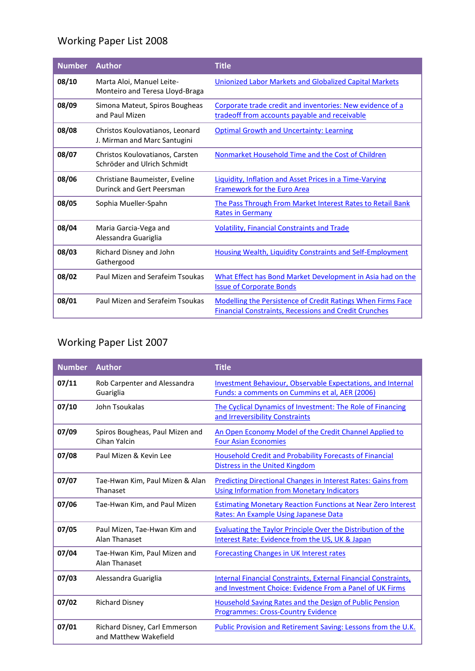# Working Paper List 2008

| <b>Number</b> | <b>Author</b>                                                   | <b>Title</b>                                                                                                                |
|---------------|-----------------------------------------------------------------|-----------------------------------------------------------------------------------------------------------------------------|
| 08/10         | Marta Aloi, Manuel Leite-<br>Monteiro and Teresa Lloyd-Braga    | Unionized Labor Markets and Globalized Capital Markets                                                                      |
| 08/09         | Simona Mateut, Spiros Bougheas<br>and Paul Mizen                | Corporate trade credit and inventories: New evidence of a<br>tradeoff from accounts payable and receivable                  |
| 08/08         | Christos Koulovatianos, Leonard<br>J. Mirman and Marc Santugini | <b>Optimal Growth and Uncertainty: Learning</b>                                                                             |
| 08/07         | Christos Koulovatianos, Carsten<br>Schröder and Ulrich Schmidt  | Nonmarket Household Time and the Cost of Children                                                                           |
| 08/06         | Christiane Baumeister, Eveline<br>Durinck and Gert Peersman     | <b>Liquidity, Inflation and Asset Prices in a Time-Varying</b><br><b>Framework for the Euro Area</b>                        |
| 08/05         | Sophia Mueller-Spahn                                            | The Pass Through From Market Interest Rates to Retail Bank<br><b>Rates in Germany</b>                                       |
| 08/04         | Maria Garcia-Vega and<br>Alessandra Guariglia                   | <b>Volatility, Financial Constraints and Trade</b>                                                                          |
| 08/03         | Richard Disney and John<br>Gathergood                           | <b>Housing Wealth, Liquidity Constraints and Self-Employment</b>                                                            |
| 08/02         | Paul Mizen and Serafeim Tsoukas                                 | What Effect has Bond Market Development in Asia had on the<br><b>Issue of Corporate Bonds</b>                               |
| 08/01         | Paul Mizen and Serafeim Tsoukas                                 | Modelling the Persistence of Credit Ratings When Firms Face<br><b>Financial Constraints, Recessions and Credit Crunches</b> |

### Working Paper List 2007

| <b>Number</b> | <b>Author</b>                                          | <b>Title</b>                                                                                                                |
|---------------|--------------------------------------------------------|-----------------------------------------------------------------------------------------------------------------------------|
| 07/11         | Rob Carpenter and Alessandra<br>Guariglia              | Investment Behaviour, Observable Expectations, and Internal<br>Funds: a comments on Cummins et al, AER (2006)               |
| 07/10         | John Tsoukalas                                         | The Cyclical Dynamics of Investment: The Role of Financing<br>and Irreversibility Constraints                               |
| 07/09         | Spiros Bougheas, Paul Mizen and<br>Cihan Yalcin        | An Open Economy Model of the Credit Channel Applied to<br><b>Four Asian Economies</b>                                       |
| 07/08         | Paul Mizen & Kevin Lee                                 | <b>Household Credit and Probability Forecasts of Financial</b><br>Distress in the United Kingdom                            |
| 07/07         | Tae-Hwan Kim, Paul Mizen & Alan<br>Thanaset            | <b>Predicting Directional Changes in Interest Rates: Gains from</b><br><b>Using Information from Monetary Indicators</b>    |
| 07/06         | Tae-Hwan Kim, and Paul Mizen                           | <b>Estimating Monetary Reaction Functions at Near Zero Interest</b><br>Rates: An Example Using Japanese Data                |
| 07/05         | Paul Mizen, Tae-Hwan Kim and<br>Alan Thanaset          | <b>Evaluating the Taylor Principle Over the Distribution of the</b><br>Interest Rate: Evidence from the US, UK & Japan      |
| 07/04         | Tae-Hwan Kim, Paul Mizen and<br>Alan Thanaset          | <b>Forecasting Changes in UK Interest rates</b>                                                                             |
| 07/03         | Alessandra Guariglia                                   | Internal Financial Constraints, External Financial Constraints,<br>and Investment Choice: Evidence From a Panel of UK Firms |
| 07/02         | <b>Richard Disney</b>                                  | Household Saving Rates and the Design of Public Pension<br><b>Programmes: Cross-Country Evidence</b>                        |
| 07/01         | Richard Disney, Carl Emmerson<br>and Matthew Wakefield | Public Provision and Retirement Saving: Lessons from the U.K.                                                               |